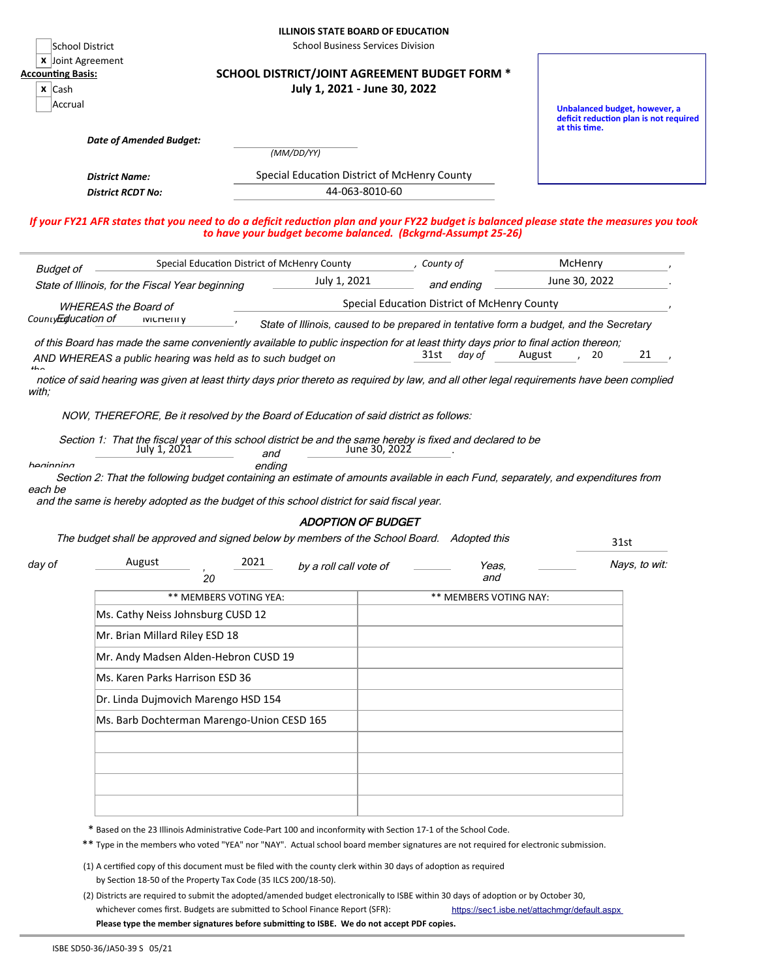|  |  | <b>ILLINOIS STATE BOARD OF EDUCATION</b> |
|--|--|------------------------------------------|
|--|--|------------------------------------------|

School District School Business Services Division

|  | <b>x</b> Joint Agreement |
|--|--------------------------|
|  |                          |

|  | counting Basis: |  |
|--|-----------------|--|
|  |                 |  |

| x ICash |
|---------|
| Accrual |

## **Accounting Basis: SCHOOL DISTRICT/JOINT AGREEMENT BUDGET FORM \* x** Cash **July 1, 2021 - June 30, 2022**

**Unbalanced budget, however, a deficit reduction plan is not required at this time.** 

| Date of Amended Budget: |  |
|-------------------------|--|
|-------------------------|--|

*District Name:* Special Education District of McHenry County

*(MM/DD/YY)*

*District RCDT No:* 44-063-8010-60

*If your FY21 AFR states that you need to do a deficit reduction plan and your FY22 budget is balanced please state the measures you took to have your budget become balanced. (Bckgrnd-Assumpt 25-26)*

| <b>Budget of</b><br>State of Illinois, for the Fiscal Year beginning                                                                |  |  | Special Education District of McHenry County                                           |            | County of | McHenry       |  |  |  |
|-------------------------------------------------------------------------------------------------------------------------------------|--|--|----------------------------------------------------------------------------------------|------------|-----------|---------------|--|--|--|
|                                                                                                                                     |  |  | July 1, 2021                                                                           | and ending |           | June 30, 2022 |  |  |  |
| <b>WHEREAS the Board of</b>                                                                                                         |  |  | Special Education District of McHenry County                                           |            |           |               |  |  |  |
| CountyEducation of<br><b>IVICHEIIIV</b>                                                                                             |  |  | State of Illinois, caused to be prepared in tentative form a budget, and the Secretary |            |           |               |  |  |  |
| of this Board has made the same conveniently available to public inspection for at least thirty days prior to final action thereon; |  |  |                                                                                        |            |           |               |  |  |  |
| August<br>31st<br>day of<br>20<br>AND WHEREAS a public hearing was held as to such budget on                                        |  |  |                                                                                        |            |           |               |  |  |  |

*the*  notice of said hearing was given at least thirty days prior thereto as required by law, and all other legal requirements have been complied with;

NOW, THEREFORE, Be it resolved by the Board of Education of said district as follows:

|              |     |               | Section 1: That the fiscal vear of this school district be and the same hereby is fixed and declared to be |
|--------------|-----|---------------|------------------------------------------------------------------------------------------------------------|
| July 1, 2021 | and | June 30, 2022 |                                                                                                            |

haninning

 Section 2: That the following budget containing an estimate of amounts available in each Fund, separately, and expenditures from each be ending

and the same is hereby adopted as the budget of this school district for said fiscal year.

## ADOPTION OF BUDGET

| The budget shall be approved and signed below by members of the School Board. Adopted this |  | 31st |
|--------------------------------------------------------------------------------------------|--|------|
|--------------------------------------------------------------------------------------------|--|------|

August 2021 \*\* MEMBERS VOTING YEA: \*\*\* MEMBERS VOTING NAY: Ms. Cathy Neiss Johnsburg CUSD 12 Mr. Brian Millard Riley ESD 18 Mr. Andy Madsen Alden-Hebron CUSD 19 Ms. Karen Parks Harrison ESD 36 Dr. Linda Dujmovich Marengo HSD 154 Ms. Barb Dochterman Marengo-Union CESD 165 day of **August** August 2021 by a roll call vote of **August** Yeas, and Nays, to wit: *, 20*

\* Based on the 23 Illinois Administrative Code-Part 100 and inconformity with Section 17-1 of the School Code.

\*\* Type in the members who voted "YEA" nor "NAY". Actual school board member signatures are not required for electronic submission.

- (1) A certified copy of this document must be filed with the county clerk within 30 days of adoption as required by Section 18-50 of the Property Tax Code (35 ILCS 200/18-50).
- (2) Districts are required to submit the adopted/amended budget electronically to ISBE within 30 days of adoption or by October 30, whichever comes first. Budgets are submitted to School Finance Report (SFR): **Please type the member signatures before submitting to ISBE. We do not accept PDF copies.** <https://sec1.isbe.net/attachmgr/default.aspx>